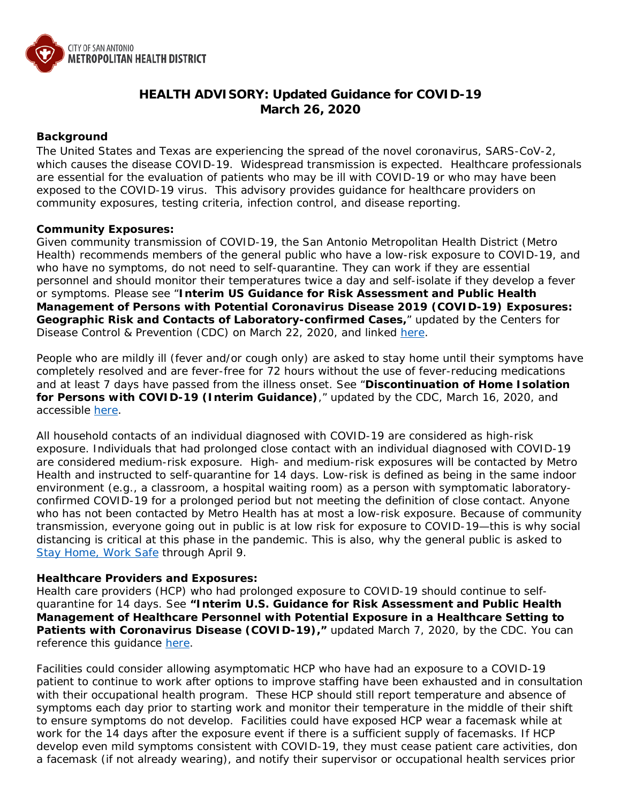

# **HEALTH ADVISORY: Updated Guidance for COVID-19 March 26, 2020**

## **Background**

The United States and Texas are experiencing the spread of the novel coronavirus, SARS-CoV-2, which causes the disease COVID-19. Widespread transmission is expected. Healthcare professionals are essential for the evaluation of patients who may be ill with COVID-19 or who may have been exposed to the COVID-19 virus. This advisory provides guidance for healthcare providers on community exposures, testing criteria, infection control, and disease reporting.

### **Community Exposures:**

Given community transmission of COVID-19, the San Antonio Metropolitan Health District (Metro Health) recommends members of the general public who have a low-risk exposure to COVID-19, and who have no symptoms, do not need to self-quarantine. They can work if they are essential personnel and should monitor their temperatures twice a day and self-isolate if they develop a fever or symptoms. Please see "**Interim US Guidance for Risk Assessment and Public Health Management of Persons with Potential Coronavirus Disease 2019 (COVID-19) Exposures: Geographic Risk and Contacts of Laboratory-confirmed Cases,**" updated by the Centers for Disease Control & Prevention (CDC) on March 22, 2020, and linked [here.](https://www.cdc.gov/coronavirus/2019-ncov/php/risk-assessment.html)

People who are mildly ill (fever and/or cough only) are asked to stay home until their symptoms have completely resolved and are fever-free for 72 hours without the use of fever-reducing medications and at least 7 days have passed from the illness onset. See "**Discontinuation of Home Isolation for Persons with COVID-19 (Interim Guidance)**," updated by the CDC, March 16, 2020, and accessible [here.](https://www.cdc.gov/coronavirus/2019-ncov/hcp/disposition-in-home-patients.html)

All household contacts of an individual diagnosed with COVID-19 are considered as high-risk exposure. Individuals that had prolonged close contact with an individual diagnosed with COVID-19 are considered medium-risk exposure. High- and medium-risk exposures will be contacted by Metro Health and instructed to self-quarantine for 14 days. Low-risk is defined as being in the same indoor environment (e.g., a classroom, a hospital waiting room) as a person with symptomatic laboratoryconfirmed COVID-19 for a prolonged period but not meeting the definition of close contact. Anyone who has not been contacted by Metro Health has at most a low-risk exposure. Because of community transmission, everyone going out in public is at low risk for exposure to COVID-19—this is why social distancing is critical at this phase in the pandemic. This is also, why the general public is asked to [Stay Home, Work Safe](https://www.sanantonio.gov/Health/News/Alerts/CoronaVirus) through April 9.

### **Healthcare Providers and Exposures:**

Health care providers (HCP) who had prolonged exposure to COVID-19 should continue to selfquarantine for 14 days. See **"Interim U.S. Guidance for Risk Assessment and Public Health Management of Healthcare Personnel with Potential Exposure in a Healthcare Setting to**  Patients with Coronavirus Disease (COVID-19)," updated March 7, 2020, by the CDC. You can reference this guidance [here.](https://www.cdc.gov/coronavirus/2019-ncov/hcp/guidance-risk-assesment-hcp.html)

Facilities could consider allowing asymptomatic HCP who have had an exposure to a COVID-19 patient to continue to work after options to improve staffing have been exhausted and in consultation with their occupational health program. These HCP should still report temperature and absence of symptoms each day prior to starting work and monitor their temperature in the middle of their shift to ensure symptoms do not develop. Facilities could have exposed HCP wear a facemask while at work for the 14 days after the exposure event if there is a sufficient supply of facemasks. If HCP develop even mild symptoms consistent with COVID-19, they must cease patient care activities, don a facemask (if not already wearing), and notify their supervisor or occupational health services prior